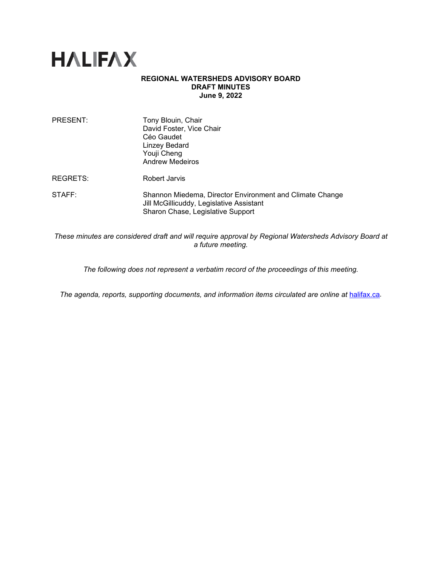

## **REGIONAL WATERSHEDS ADVISORY BOARD DRAFT MINUTES June 9, 2022**

| PRESENT:           | Tony Blouin, Chair<br>David Foster, Vice Chair<br>Céo Gaudet<br><b>Linzey Bedard</b><br>Youji Cheng<br><b>Andrew Medeiros</b>             |
|--------------------|-------------------------------------------------------------------------------------------------------------------------------------------|
| REGRETS:           | Robert Jarvis                                                                                                                             |
| $\mathsf{STATE}$ : | Shannon Miedema, Director Environment and Climate Change<br>Jill McGillicuddy, Legislative Assistant<br>Sharon Chase, Legislative Support |

*These minutes are considered draft and will require approval by Regional Watersheds Advisory Board at a future meeting.* 

*The following does not represent a verbatim record of the proceedings of this meeting.*

*The agenda, reports, supporting documents, and information items circulated are online at [halifax.ca](http://www.halifax.ca/).*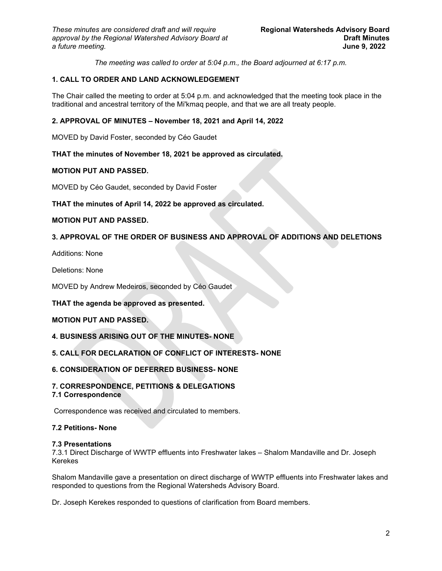*The meeting was called to order at 5:04 p.m., the Board adjourned at 6:17 p.m.*

# **1. CALL TO ORDER AND LAND ACKNOWLEDGEMENT**

The Chair called the meeting to order at 5:04 p.m. and acknowledged that the meeting took place in the traditional and ancestral territory of the Mi'kmaq people, and that we are all treaty people.

# **2. APPROVAL OF MINUTES – November 18, 2021 and April 14, 2022**

MOVED by David Foster, seconded by Céo Gaudet

## **THAT the minutes of November 18, 2021 be approved as circulated.**

## **MOTION PUT AND PASSED.**

MOVED by Céo Gaudet, seconded by David Foster

## **THAT the minutes of April 14, 2022 be approved as circulated.**

## **MOTION PUT AND PASSED.**

# **3. APPROVAL OF THE ORDER OF BUSINESS AND APPROVAL OF ADDITIONS AND DELETIONS**

Additions: None

Deletions: None

MOVED by Andrew Medeiros, seconded by Céo Gaudet

## **THAT the agenda be approved as presented.**

# **MOTION PUT AND PASSED.**

# **4. BUSINESS ARISING OUT OF THE MINUTES- NONE**

# **5. CALL FOR DECLARATION OF CONFLICT OF INTERESTS- NONE**

# **6. CONSIDERATION OF DEFERRED BUSINESS- NONE**

# **7. CORRESPONDENCE, PETITIONS & DELEGATIONS**

**7.1 Correspondence**

Correspondence was received and circulated to members.

## **7.2 Petitions- None**

## **7.3 Presentations**

7.3.1 Direct Discharge of WWTP effluents into Freshwater lakes – Shalom Mandaville and Dr. Joseph Kerekes

Shalom Mandaville gave a presentation on direct discharge of WWTP effluents into Freshwater lakes and responded to questions from the Regional Watersheds Advisory Board.

Dr. Joseph Kerekes responded to questions of clarification from Board members.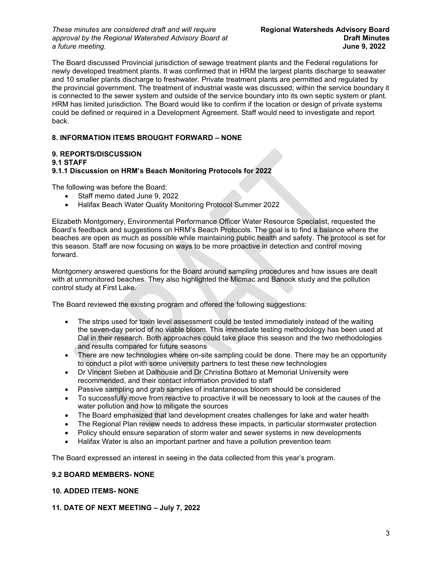*These minutes are considered draft and will require* **Regional Watersheds Advisory Board** *approval by the Regional Watershed Advisory Board at* **Draft Minutes**   $a$  *future meeting.* 

The Board discussed Provincial jurisdiction of sewage treatment plants and the Federal regulations for newly developed treatment plants. It was confirmed that in HRM the largest plants discharge to seawater and 10 smaller plants discharge to freshwater. Private treatment plants are permitted and regulated by the provincial government. The treatment of industrial waste was discussed; within the service boundary it is connected to the sewer system and outside of the service boundary into its own septic system or plant. HRM has limited jurisdiction. The Board would like to confirm if the location or design of private systems could be defined or required in a Development Agreement. Staff would need to investigate and report back.

# **8. INFORMATION ITEMS BROUGHT FORWARD – NONE**

# **9. REPORTS/DISCUSSION**

## **9.1 STAFF**

# **9.1.1 Discussion on HRM's Beach Monitoring Protocols for 2022**

The following was before the Board:

- Staff memo dated June 9, 2022
- Halifax Beach Water Quality Monitoring Protocol Summer 2022

Elizabeth Montgomery, Environmental Performance Officer Water Resource Specialist, requested the Board's feedback and suggestions on HRM's Beach Protocols. The goal is to find a balance where the beaches are open as much as possible while maintaining public health and safety. The protocol is set for this season. Staff are now focusing on ways to be more proactive in detection and control moving forward.

Montgomery answered questions for the Board around sampling procedures and how issues are dealt with at unmonitored beaches. They also highlighted the Micmac and Banook study and the pollution control study at First Lake.

The Board reviewed the existing program and offered the following suggestions:

- The strips used for toxin level assessment could be tested immediately instead of the waiting the seven-day period of no viable bloom. This immediate testing methodology has been used at Dal in their research. Both approaches could take place this season and the two methodologies and results compared for future seasons
- There are new technologies where on-site sampling could be done. There may be an opportunity to conduct a pilot with some university partners to test these new technologies
- Dr Vincent Sieben at Dalhousie and Dr Christina Bottaro at Memorial University were recommended, and their contact information provided to staff
- Passive sampling and grab samples of instantaneous bloom should be considered
- To successfully move from reactive to proactive it will be necessary to look at the causes of the water pollution and how to mitigate the sources
- The Board emphasized that land development creates challenges for lake and water health
- The Regional Plan review needs to address these impacts, in particular stormwater protection
- Policy should ensure separation of storm water and sewer systems in new developments
- Halifax Water is also an important partner and have a pollution prevention team

The Board expressed an interest in seeing in the data collected from this year's program.

## **9.2 BOARD MEMBERS- NONE**

# **10. ADDED ITEMS- NONE**

# **11. DATE OF NEXT MEETING – July 7, 2022**